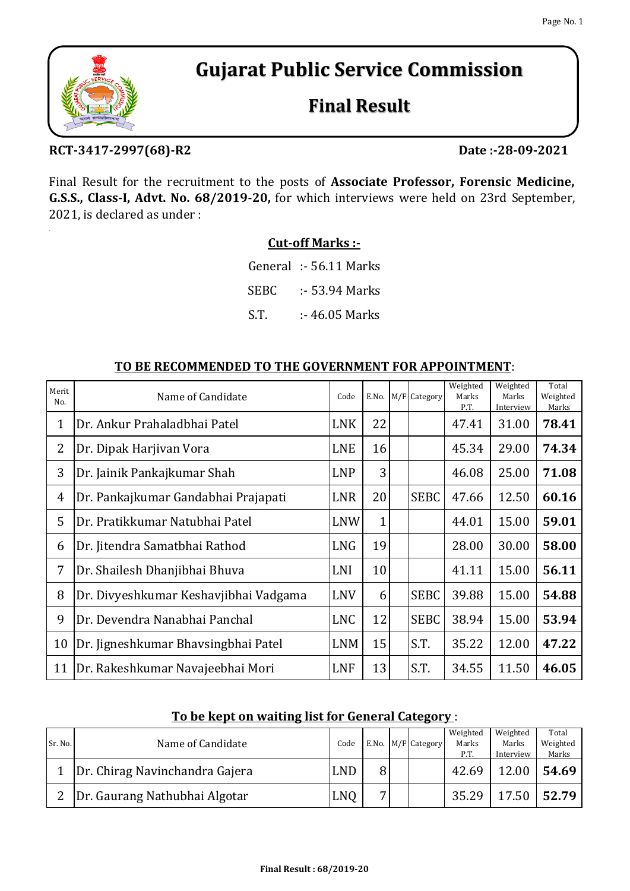

# **Final Result**

## **RCT‐3417‐2997(68)‐R2 Date :‐28‐09‐2021**

Final Result for the recruitment to the posts of **Associate Professor, Forensic Medicine, G.S.S., Class‐I, Advt. No. 68/2019‐20,** for which interviews were held on 23rd September, 2021, is declared as under :

### **Cut‐off Marks :‐**

S.T. :- 46.05 Marks General :- 56.11 Marks SEBC :- 53.94 Marks

| Merit<br>No.   | Name of Candidate                     | Code       |              | E.No. M/F Category | Weighted<br>Marks<br>P.T. | Weighted<br>Marks<br>Interview | Total<br>Weighted<br>Marks |
|----------------|---------------------------------------|------------|--------------|--------------------|---------------------------|--------------------------------|----------------------------|
| $\mathbf{1}$   | Dr. Ankur Prahaladbhai Patel          | <b>LNK</b> | 22           |                    | 47.41                     | 31.00                          | 78.41                      |
| $\overline{2}$ | Dr. Dipak Harjivan Vora               | <b>LNE</b> | 16           |                    | 45.34                     | 29.00                          | 74.34                      |
| 3              | Dr. Jainik Pankajkumar Shah           | <b>LNP</b> | 3            |                    | 46.08                     | 25.00                          | 71.08                      |
| 4              | Dr. Pankajkumar Gandabhai Prajapati   | <b>LNR</b> | 20           | <b>SEBC</b>        | 47.66                     | 12.50                          | 60.16                      |
| 5              | Dr. Pratikkumar Natubhai Patel        | <b>LNW</b> | $\mathbf{1}$ |                    | 44.01                     | 15.00                          | 59.01                      |
| 6              | Dr. Jitendra Samatbhai Rathod         | <b>LNG</b> | 19           |                    | 28.00                     | 30.00                          | 58.00                      |
| 7              | Dr. Shailesh Dhanjibhai Bhuva         | LNI        | 10           |                    | 41.11                     | 15.00                          | 56.11                      |
| 8              | Dr. Divyeshkumar Keshavjibhai Vadgama | <b>LNV</b> | 6            | <b>SEBC</b>        | 39.88                     | 15.00                          | 54.88                      |
| 9              | Dr. Devendra Nanabhai Panchal         | <b>LNC</b> | 12           | <b>SEBC</b>        | 38.94                     | 15.00                          | 53.94                      |
| 10             | Dr. Jigneshkumar Bhavsingbhai Patel   | LNM        | 15           | S.T.               | 35.22                     | 12.00                          | 47.22                      |
| 11             | Dr. Rakeshkumar Navajeebhai Mori      | <b>LNF</b> | 13           | S.T.               | 34.55                     | 11.50                          | 46.05                      |

#### **TO BE RECOMMENDED TO THE GOVERNMENT FOR APPOINTMENT**:

|  | To be kept on waiting list for General Category : |
|--|---------------------------------------------------|
|  |                                                   |

|         |                                |            |   |                    | Weighted | Weighted  | Total    |
|---------|--------------------------------|------------|---|--------------------|----------|-----------|----------|
| Sr. No. | Name of Candidate              | Code       |   | E.No. M/F Category | Marks    | Marks     | Weighted |
|         |                                |            |   |                    | P.T      | Interview | Marks    |
|         | Dr. Chirag Navinchandra Gajera | <b>LND</b> |   |                    | 42.69    | 12.00     | 54.69    |
|         | Dr. Gaurang Nathubhai Algotar  | <b>LNO</b> | — |                    | 35.29    | 17.50     | 52.79    |